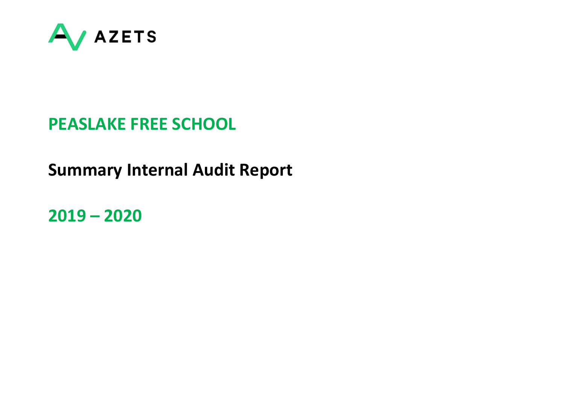

# PEASLAKE FREE SCHOOL

# Summary Internal Audit Report

2019 – 2020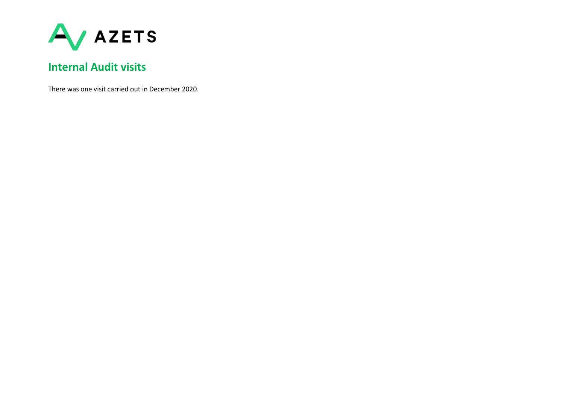

# Internal Audit visits

There was one visit carried out in December 2020.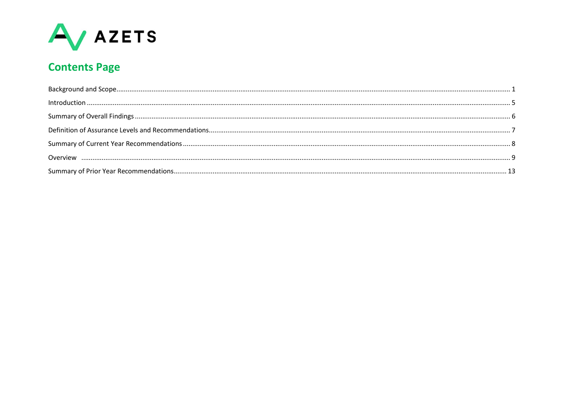

# **Contents Page**

| $\label{prop:nonlinear} \text{Introduction} \,\, \ldots \,\, \ldots \,\, \ldots \,\, \ldots \,\, \ldots \,\, \ldots \,\, \ldots \,\, \ldots \,\, \ldots \,\, \ldots \,\, \ldots \,\, \ldots \,\, \ldots \,\, \ldots \,\, \ldots \,\, \ldots \,\, \ldots \,\, \ldots \,\, \ldots \,\, \ldots \,\, \ldots \,\, \ldots \,\, \ldots \,\, \ldots \,\, \ldots \,\, \ldots \,\, \ldots \,\, \ldots \,\, \ldots \,\, \ldots \,\, \ldots \,\, \ldots \,\, \ldots \,\, \ldots \,\,$ |  |
|---------------------------------------------------------------------------------------------------------------------------------------------------------------------------------------------------------------------------------------------------------------------------------------------------------------------------------------------------------------------------------------------------------------------------------------------------------------------------|--|
|                                                                                                                                                                                                                                                                                                                                                                                                                                                                           |  |
|                                                                                                                                                                                                                                                                                                                                                                                                                                                                           |  |
|                                                                                                                                                                                                                                                                                                                                                                                                                                                                           |  |
|                                                                                                                                                                                                                                                                                                                                                                                                                                                                           |  |
|                                                                                                                                                                                                                                                                                                                                                                                                                                                                           |  |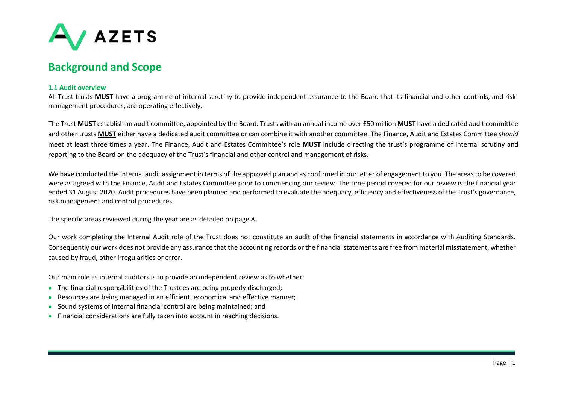

### Background and Scope

#### 1.1 Audit overview

All Trust trusts MUST have a programme of internal scrutiny to provide independent assurance to the Board that its financial and other controls, and risk management procedures, are operating effectively.

The Trust MUST establish an audit committee, appointed by the Board. Trusts with an annual income over £50 million MUST have a dedicated audit committee and other trusts MUST either have a dedicated audit committee or can combine it with another committee. The Finance, Audit and Estates Committee should meet at least three times a year. The Finance, Audit and Estates Committee's role **MUST** include directing the trust's programme of internal scrutiny and reporting to the Board on the adequacy of the Trust's financial and other control and management of risks.

We have conducted the internal audit assignment in terms of the approved plan and as confirmed in our letter of engagement to you. The areas to be covered were as agreed with the Finance, Audit and Estates Committee prior to commencing our review. The time period covered for our review is the financial year ended 31 August 2020. Audit procedures have been planned and performed to evaluate the adequacy, efficiency and effectiveness of the Trust's governance, risk management and control procedures.

The specific areas reviewed during the year are as detailed on page 8.

Our work completing the Internal Audit role of the Trust does not constitute an audit of the financial statements in accordance with Auditing Standards. Consequently our work does not provide any assurance that the accounting records or the financial statements are free from material misstatement, whether caused by fraud, other irregularities or error.

Our main role as internal auditors is to provide an independent review as to whether:

- The financial responsibilities of the Trustees are being properly discharged;
- Resources are being managed in an efficient, economical and effective manner;
- Sound systems of internal financial control are being maintained; and
- Financial considerations are fully taken into account in reaching decisions.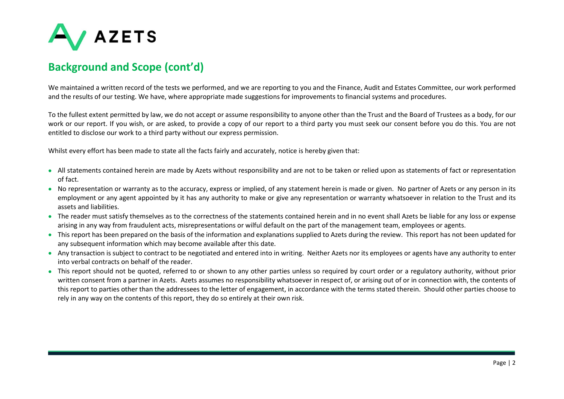

### Background and Scope (cont'd)

We maintained a written record of the tests we performed, and we are reporting to you and the Finance, Audit and Estates Committee, our work performed and the results of our testing. We have, where appropriate made suggestions for improvements to financial systems and procedures.

To the fullest extent permitted by law, we do not accept or assume responsibility to anyone other than the Trust and the Board of Trustees as a body, for our work or our report. If you wish, or are asked, to provide a copy of our report to a third party you must seek our consent before you do this. You are not entitled to disclose our work to a third party without our express permission.

Whilst every effort has been made to state all the facts fairly and accurately, notice is hereby given that:

- All statements contained herein are made by Azets without responsibility and are not to be taken or relied upon as statements of fact or representation of fact.
- No representation or warranty as to the accuracy, express or implied, of any statement herein is made or given. No partner of Azets or any person in its employment or any agent appointed by it has any authority to make or give any representation or warranty whatsoever in relation to the Trust and its assets and liabilities.
- The reader must satisfy themselves as to the correctness of the statements contained herein and in no event shall Azets be liable for any loss or expense arising in any way from fraudulent acts, misrepresentations or wilful default on the part of the management team, employees or agents.
- This report has been prepared on the basis of the information and explanations supplied to Azets during the review. This report has not been updated for any subsequent information which may become available after this date.
- Any transaction is subject to contract to be negotiated and entered into in writing. Neither Azets nor its employees or agents have any authority to enter into verbal contracts on behalf of the reader.
- This report should not be quoted, referred to or shown to any other parties unless so required by court order or a regulatory authority, without prior written consent from a partner in Azets. Azets assumes no responsibility whatsoever in respect of, or arising out of or in connection with, the contents of this report to parties other than the addressees to the letter of engagement, in accordance with the terms stated therein. Should other parties choose to rely in any way on the contents of this report, they do so entirely at their own risk.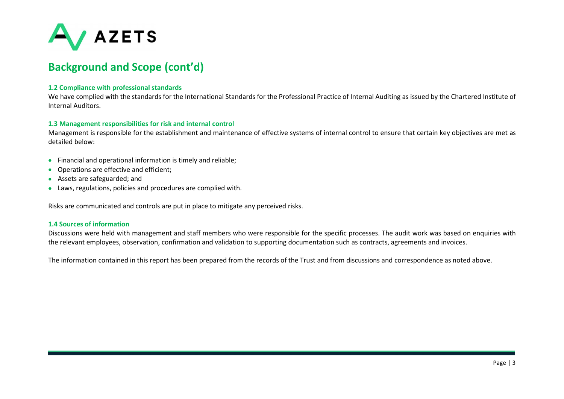

### Background and Scope (cont'd)

#### 1.2 Compliance with professional standards

We have complied with the standards for the International Standards for the Professional Practice of Internal Auditing as issued by the Chartered Institute of Internal Auditors.

#### 1.3 Management responsibilities for risk and internal control

Management is responsible for the establishment and maintenance of effective systems of internal control to ensure that certain key objectives are met as detailed below:

- Financial and operational information is timely and reliable;
- Operations are effective and efficient;
- Assets are safeguarded; and
- Laws, regulations, policies and procedures are complied with.

Risks are communicated and controls are put in place to mitigate any perceived risks.

#### 1.4 Sources of information

Discussions were held with management and staff members who were responsible for the specific processes. The audit work was based on enquiries with the relevant employees, observation, confirmation and validation to supporting documentation such as contracts, agreements and invoices.

The information contained in this report has been prepared from the records of the Trust and from discussions and correspondence as noted above.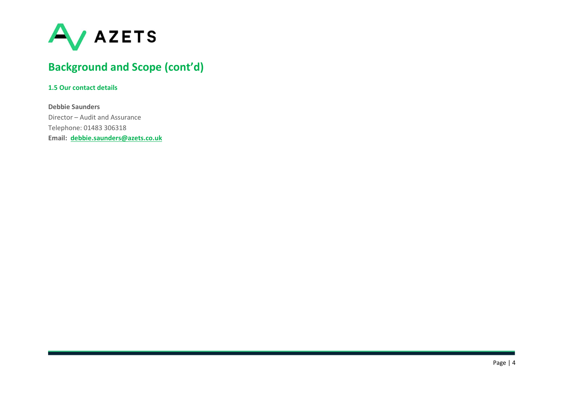

# Background and Scope (cont'd)

#### 1.5 Our contact details

Debbie Saunders Director – Audit and Assurance Telephone: 01483 306318 Email: debbie.saunders@azets.co.uk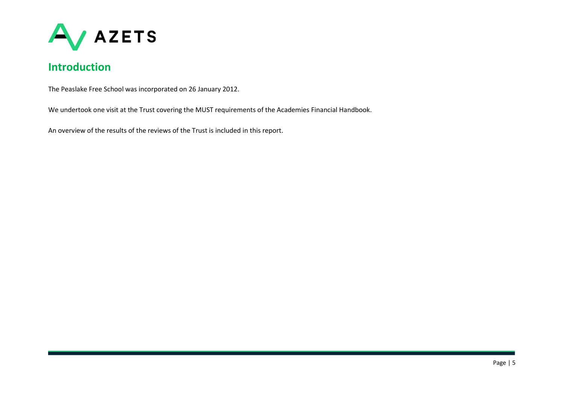

# Introduction

The Peaslake Free School was incorporated on 26 January 2012.

We undertook one visit at the Trust covering the MUST requirements of the Academies Financial Handbook.

An overview of the results of the reviews of the Trust is included in this report.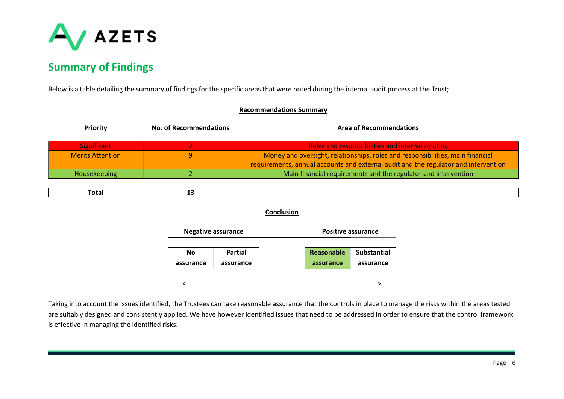

# Summary of Findings

Below is a table detailing the summary of findings for the specific areas that were noted during the internal audit process at the Trust;

| <b>Recommendations Summary</b> |                               |                      |                                                                                     |  |  |
|--------------------------------|-------------------------------|----------------------|-------------------------------------------------------------------------------------|--|--|
| <b>Priority</b>                | <b>No. of Recommendations</b> |                      | <b>Area of Recommendations</b>                                                      |  |  |
| <b>Significant</b>             | 2                             |                      | Roles and responsibilities and internal scrutiny                                    |  |  |
| <b>Merits Attention</b>        | 9                             |                      | Money and oversight, relationships, roles and responsibilities, main financial      |  |  |
|                                |                               |                      | requirements, annual accounts and external audit and the regulator and intervention |  |  |
| Housekeeping                   | 2                             |                      | Main financial requirements and the regulator and intervention                      |  |  |
|                                |                               |                      |                                                                                     |  |  |
| <b>Total</b>                   | 13                            |                      |                                                                                     |  |  |
| Conclusion                     |                               |                      |                                                                                     |  |  |
|                                | <b>Negative assurance</b>     |                      | <b>Positive assurance</b>                                                           |  |  |
|                                | No<br>assurance               | Partial<br>assurance | Reasonable<br><b>Substantial</b><br>assurance<br>assurance                          |  |  |
|                                |                               |                      |                                                                                     |  |  |

Taking into account the issues identified, the Trustees can take reasonable assurance that the controls in place to manage the risks within the areas tested are suitably designed and consistently applied. We have however identified issues that need to be addressed in order to ensure that the control framework is effective in managing the identified risks.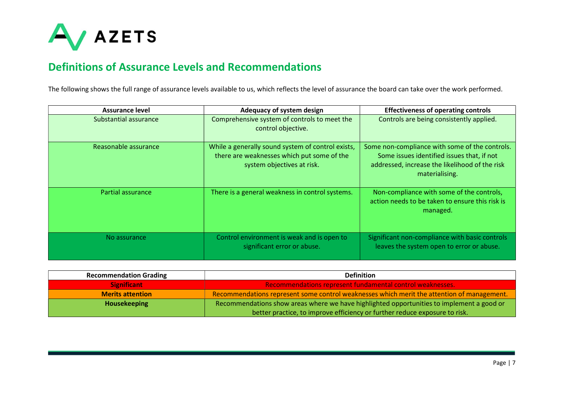

### Definitions of Assurance Levels and Recommendations

The following shows the full range of assurance levels available to us, which reflects the level of assurance the board can take over the work performed.

| Assurance level       | Adequacy of system design                                                                                                     | <b>Effectiveness of operating controls</b>                                                                                                                       |
|-----------------------|-------------------------------------------------------------------------------------------------------------------------------|------------------------------------------------------------------------------------------------------------------------------------------------------------------|
| Substantial assurance | Comprehensive system of controls to meet the<br>control objective.                                                            | Controls are being consistently applied.                                                                                                                         |
| Reasonable assurance  | While a generally sound system of control exists,<br>there are weaknesses which put some of the<br>system objectives at risk. | Some non-compliance with some of the controls.<br>Some issues identified issues that, if not<br>addressed, increase the likelihood of the risk<br>materialising. |
| Partial assurance     | There is a general weakness in control systems.                                                                               | Non-compliance with some of the controls,<br>action needs to be taken to ensure this risk is<br>managed.                                                         |
| No assurance          | Control environment is weak and is open to<br>significant error or abuse.                                                     | Significant non-compliance with basic controls<br>leaves the system open to error or abuse.                                                                      |

| <b>Recommendation Grading</b> | <b>Definition</b>                                                                          |
|-------------------------------|--------------------------------------------------------------------------------------------|
| <b>Significant</b>            | Recommendations represent fundamental control weaknesses.                                  |
| <b>Merits attention</b>       | Recommendations represent some control weaknesses which merit the attention of management. |
| <b>Housekeeping</b>           | Recommendations show areas where we have highlighted opportunities to implement a good or  |
|                               | better practice, to improve efficiency or further reduce exposure to risk.                 |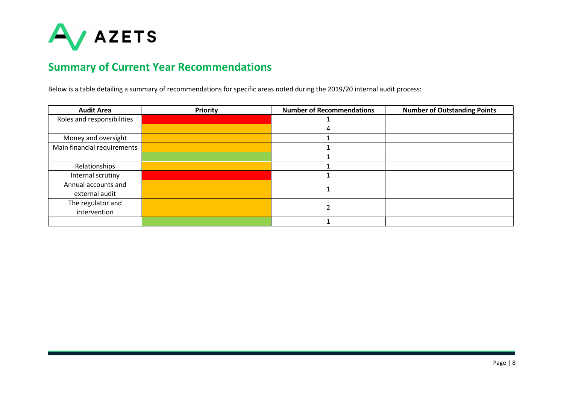

# Summary of Current Year Recommendations

Below is a table detailing a summary of recommendations for specific areas noted during the 2019/20 internal audit process:

| <b>Audit Area</b>           | <b>Priority</b> | <b>Number of Recommendations</b> | <b>Number of Outstanding Points</b> |
|-----------------------------|-----------------|----------------------------------|-------------------------------------|
| Roles and responsibilities  |                 |                                  |                                     |
|                             |                 |                                  |                                     |
| Money and oversight         |                 |                                  |                                     |
| Main financial requirements |                 |                                  |                                     |
|                             |                 |                                  |                                     |
| Relationships               |                 |                                  |                                     |
| Internal scrutiny           |                 |                                  |                                     |
| Annual accounts and         |                 |                                  |                                     |
| external audit              |                 |                                  |                                     |
| The regulator and           |                 |                                  |                                     |
| intervention                |                 |                                  |                                     |
|                             |                 |                                  |                                     |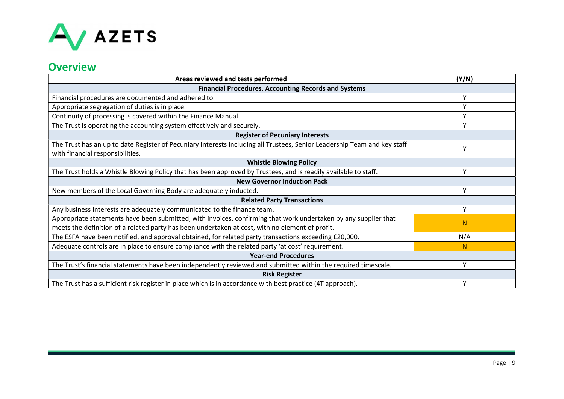

### **Overview**

| Areas reviewed and tests performed                                                                                       | (Y/N)        |  |  |
|--------------------------------------------------------------------------------------------------------------------------|--------------|--|--|
| <b>Financial Procedures, Accounting Records and Systems</b>                                                              |              |  |  |
| Financial procedures are documented and adhered to.                                                                      | ۷            |  |  |
| Appropriate segregation of duties is in place.                                                                           | $\checkmark$ |  |  |
| Continuity of processing is covered within the Finance Manual.                                                           | v            |  |  |
| The Trust is operating the accounting system effectively and securely.                                                   | Υ            |  |  |
| <b>Register of Pecuniary Interests</b>                                                                                   |              |  |  |
| The Trust has an up to date Register of Pecuniary Interests including all Trustees, Senior Leadership Team and key staff |              |  |  |
| with financial responsibilities.                                                                                         |              |  |  |
| <b>Whistle Blowing Policy</b>                                                                                            |              |  |  |
| The Trust holds a Whistle Blowing Policy that has been approved by Trustees, and is readily available to staff.          | v            |  |  |
| <b>New Governor Induction Pack</b>                                                                                       |              |  |  |
| New members of the Local Governing Body are adequately inducted.                                                         | Υ            |  |  |
| <b>Related Party Transactions</b>                                                                                        |              |  |  |
| Any business interests are adequately communicated to the finance team.                                                  | Y            |  |  |
| Appropriate statements have been submitted, with invoices, confirming that work undertaken by any supplier that          | N            |  |  |
| meets the definition of a related party has been undertaken at cost, with no element of profit.                          |              |  |  |
| The ESFA have been notified, and approval obtained, for related party transactions exceeding £20,000.                    | N/A          |  |  |
| Adequate controls are in place to ensure compliance with the related party 'at cost' requirement.                        | N            |  |  |
| <b>Year-end Procedures</b>                                                                                               |              |  |  |
| The Trust's financial statements have been independently reviewed and submitted within the required timescale.           | Y            |  |  |
| <b>Risk Register</b>                                                                                                     |              |  |  |
| The Trust has a sufficient risk register in place which is in accordance with best practice (4T approach).               |              |  |  |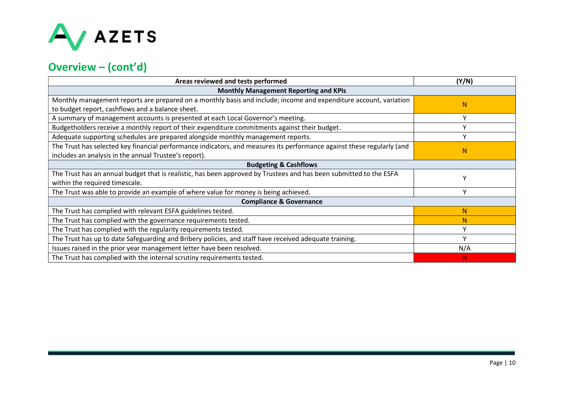

# Overview – (cont'd)

| Areas reviewed and tests performed                                                                                     | (Y/N)        |  |
|------------------------------------------------------------------------------------------------------------------------|--------------|--|
| <b>Monthly Management Reporting and KPIs</b>                                                                           |              |  |
| Monthly management reports are prepared on a monthly basis and include; income and expenditure account, variation      | $\mathbf N$  |  |
| to budget report, cashflows and a balance sheet.                                                                       |              |  |
| A summary of management accounts is presented at each Local Governor's meeting.                                        | $\checkmark$ |  |
| Budgetholders receive a monthly report of their expenditure commitments against their budget.                          | v            |  |
| Adequate supporting schedules are prepared alongside monthly management reports.                                       | v            |  |
| The Trust has selected key financial performance indicators, and measures its performance against these regularly (and |              |  |
| includes an analysis in the annual Trustee's report).                                                                  | N            |  |
| <b>Budgeting &amp; Cashflows</b>                                                                                       |              |  |
| The Trust has an annual budget that is realistic, has been approved by Trustees and has been submitted to the ESFA     |              |  |
| within the required timescale.                                                                                         |              |  |
| The Trust was able to provide an example of where value for money is being achieved.                                   | ν            |  |
| <b>Compliance &amp; Governance</b>                                                                                     |              |  |
| The Trust has complied with relevant ESFA guidelines tested.                                                           | N            |  |
| The Trust has complied with the governance requirements tested.                                                        | N            |  |
| The Trust has complied with the regularity requirements tested.                                                        | ۷            |  |
| The Trust has up to date Safeguarding and Bribery policies, and staff have received adequate training.                 | $\checkmark$ |  |
| Issues raised in the prior year management letter have been resolved.                                                  | N/A          |  |
| The Trust has complied with the internal scrutiny requirements tested.                                                 | N.           |  |